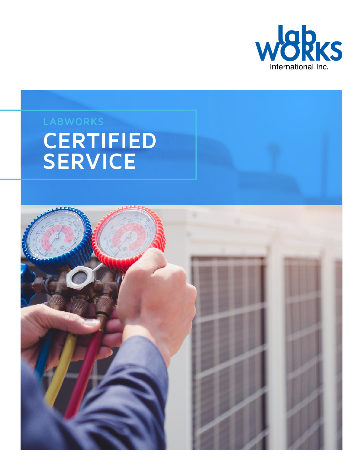

# **CERTIFIED SERVICE**